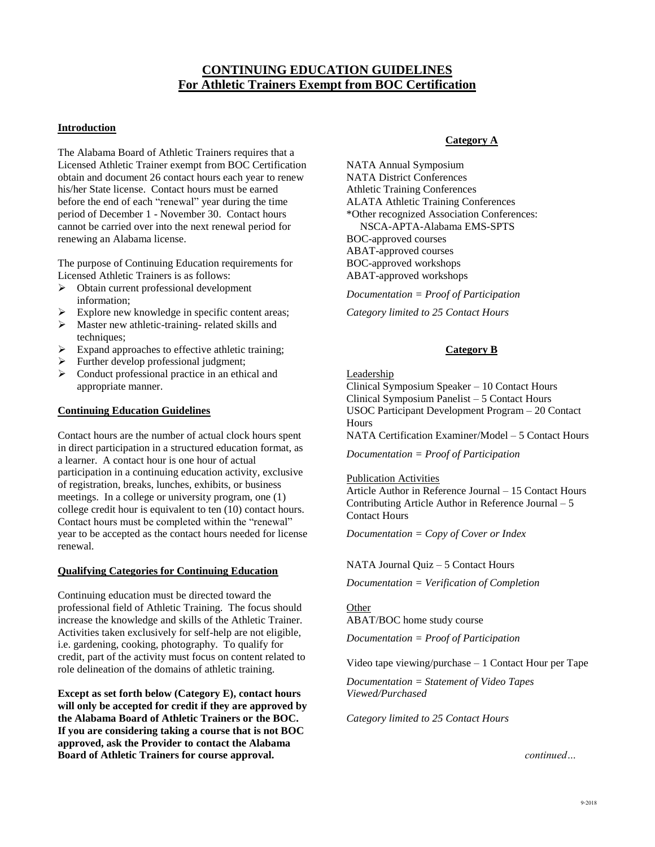# **CONTINUING EDUCATION GUIDELINES For Athletic Trainers Exempt from BOC Certification**

### **Introduction**

The Alabama Board of Athletic Trainers requires that a Licensed Athletic Trainer exempt from BOC Certification obtain and document 26 contact hours each year to renew his/her State license. Contact hours must be earned before the end of each "renewal" year during the time period of December 1 - November 30. Contact hours cannot be carried over into the next renewal period for renewing an Alabama license.

The purpose of Continuing Education requirements for Licensed Athletic Trainers is as follows:

- ➢ Obtain current professional development information;
- Explore new knowledge in specific content areas;
- ➢ Master new athletic-training- related skills and techniques;
- ➢ Expand approaches to effective athletic training;
- ➢ Further develop professional judgment;
- ➢ Conduct professional practice in an ethical and appropriate manner.

### **Continuing Education Guidelines**

Contact hours are the number of actual clock hours spent in direct participation in a structured education format, as a learner. A contact hour is one hour of actual participation in a continuing education activity, exclusive of registration, breaks, lunches, exhibits, or business meetings. In a college or university program, one (1) college credit hour is equivalent to ten (10) contact hours. Contact hours must be completed within the "renewal" year to be accepted as the contact hours needed for license renewal.

### **Qualifying Categories for Continuing Education**

Continuing education must be directed toward the professional field of Athletic Training. The focus should increase the knowledge and skills of the Athletic Trainer. Activities taken exclusively for self-help are not eligible, i.e. gardening, cooking, photography. To qualify for credit, part of the activity must focus on content related to role delineation of the domains of athletic training.

**Except as set forth below (Category E), contact hours will only be accepted for credit if they are approved by the Alabama Board of Athletic Trainers or the BOC. If you are considering taking a course that is not BOC approved, ask the Provider to contact the Alabama Board of Athletic Trainers for course approval.**

### **Category A**

NATA Annual Symposium NATA District Conferences Athletic Training Conferences ALATA Athletic Training Conferences \*Other recognized Association Conferences: NSCA-APTA-Alabama EMS-SPTS BOC-approved courses ABAT-approved courses BOC-approved workshops ABAT-approved workshops

*Documentation = Proof of Participation*

*Category limited to 25 Contact Hours*

### **Category B**

Leadership

Clinical Symposium Speaker – 10 Contact Hours Clinical Symposium Panelist – 5 Contact Hours USOC Participant Development Program – 20 Contact **Hours** 

NATA Certification Examiner/Model – 5 Contact Hours

*Documentation = Proof of Participation*

Publication Activities

Article Author in Reference Journal – 15 Contact Hours Contributing Article Author in Reference Journal – 5 Contact Hours

*Documentation = Copy of Cover or Index*

NATA Journal Quiz – 5 Contact Hours

*Documentation = Verification of Completion*

**Other** ABAT/BOC home study course

*Documentation = Proof of Participation*

Video tape viewing/purchase – 1 Contact Hour per Tape

*Documentation = Statement of Video Tapes Viewed/Purchased*

*Category limited to 25 Contact Hours*

 *continued…*